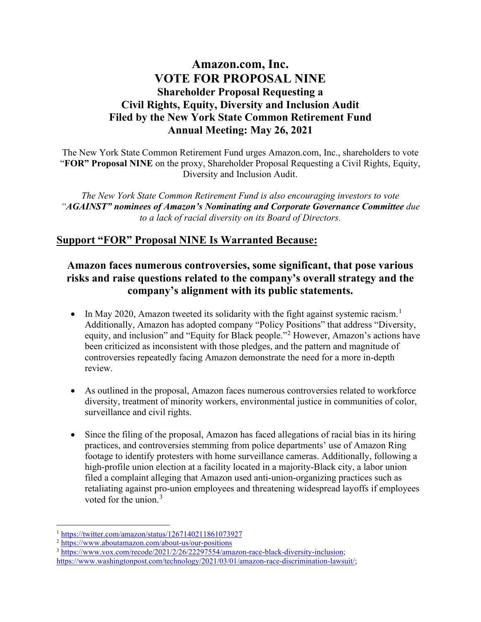## **Amazon.com, Inc. VOTE FOR PROPOSAL NINE Shareholder Proposal Requesting a Civil Rights, Equity, Diversity and Inclusion Audit Filed by the New York State Common Retirement Fund Annual Meeting: May 26, 2021**

The New York State Common Retirement Fund urges Amazon.com, Inc., shareholders to vote "**FOR" Proposal NINE** on the proxy, Shareholder Proposal Requesting a Civil Rights, Equity, Diversity and Inclusion Audit.

*The New York State Common Retirement Fund is also encouraging investors to vote "AGAINST" nominees of Amazon's Nominating and Corporate Governance Committee due to a lack of racial diversity on its Board of Directors.*

#### **Support "FOR" Proposal NINE Is Warranted Because:**

### **Amazon faces numerous controversies, some significant, that pose various risks and raise questions related to the company's overall strategy and the company's alignment with its public statements.**

- In May 2020, Amazon tweeted its solidarity with the fight against systemic racism.<sup>[1](#page-0-0)</sup> Additionally, Amazon has adopted company "Policy Positions" that address "Diversity, equity, and inclusion" and "Equity for Black people."[2](#page-0-1) However, Amazon's actions have been criticized as inconsistent with those pledges, and the pattern and magnitude of controversies repeatedly facing Amazon demonstrate the need for a more in-depth review.
- As outlined in the proposal, Amazon faces numerous controversies related to workforce diversity, treatment of minority workers, environmental justice in communities of color, surveillance and civil rights.
- Since the filing of the proposal, Amazon has faced allegations of racial bias in its hiring practices, and controversies stemming from police departments' use of Amazon Ring footage to identify protesters with home surveillance cameras. Additionally, following a high-profile union election at a facility located in a majority-Black city, a labor union filed a complaint alleging that Amazon used anti-union-organizing practices such as retaliating against pro-union employees and threatening widespread layoffs if employees voted for the union. $3$

<span id="page-0-2"></span><sup>3</sup> [https://www.vox.com/recode/2021/2/26/22297554/amazon-race-black-diversity-inclusion;](https://www.vox.com/recode/2021/2/26/22297554/amazon-race-black-diversity-inclusion)

<span id="page-0-0"></span><sup>1</sup> <https://twitter.com/amazon/status/1267140211861073927>

<span id="page-0-1"></span><sup>2</sup> <https://www.aboutamazon.com/about-us/our-positions>

[https://www.washingtonpost.com/technology/2021/03/01/amazon-race-discrimination-lawsuit/;](https://www.washingtonpost.com/technology/2021/03/01/amazon-race-discrimination-lawsuit/)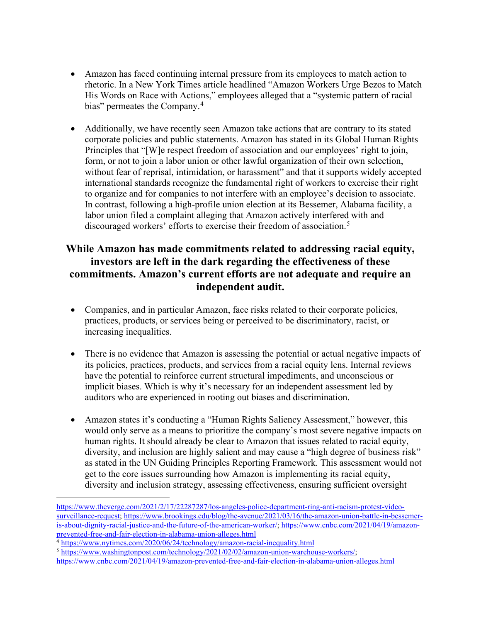- Amazon has faced continuing internal pressure from its employees to match action to rhetoric. In a New York Times article headlined "Amazon Workers Urge Bezos to Match His Words on Race with Actions," employees alleged that a "systemic pattern of racial bias" permeates the Company.<sup>[4](#page-1-0)</sup>
- Additionally, we have recently seen Amazon take actions that are contrary to its stated corporate policies and public statements. Amazon has stated in its Global Human Rights Principles that "[W]e respect freedom of association and our employees' right to join, form, or not to join a labor union or other lawful organization of their own selection, without fear of reprisal, intimidation, or harassment" and that it supports widely accepted international standards recognize the fundamental right of workers to exercise their right to organize and for companies to not interfere with an employee's decision to associate. In contrast, following a high-profile union election at its Bessemer, Alabama facility, a labor union filed a complaint alleging that Amazon actively interfered with and discouraged workers' efforts to exercise their freedom of association.[5](#page-1-1)

### **While Amazon has made commitments related to addressing racial equity, investors are left in the dark regarding the effectiveness of these commitments. Amazon's current efforts are not adequate and require an independent audit.**

- Companies, and in particular Amazon, face risks related to their corporate policies, practices, products, or services being or perceived to be discriminatory, racist, or increasing inequalities.
- There is no evidence that Amazon is assessing the potential or actual negative impacts of its policies, practices, products, and services from a racial equity lens. Internal reviews have the potential to reinforce current structural impediments, and unconscious or implicit biases. Which is why it's necessary for an independent assessment led by auditors who are experienced in rooting out biases and discrimination.
- Amazon states it's conducting a "Human Rights Saliency Assessment," however, this would only serve as a means to prioritize the company's most severe negative impacts on human rights. It should already be clear to Amazon that issues related to racial equity, diversity, and inclusion are highly salient and may cause a "high degree of business risk" as stated in the UN Guiding Principles Reporting Framework. This assessment would not get to the core issues surrounding how Amazon is implementing its racial equity, diversity and inclusion strategy, assessing effectiveness, ensuring sufficient oversight

[https://www.theverge.com/2021/2/17/22287287/los-angeles-police-department-ring-anti-racism-protest-video](https://www.theverge.com/2021/2/17/22287287/los-angeles-police-department-ring-anti-racism-protest-video-surveillance-request)[surveillance-request;](https://www.theverge.com/2021/2/17/22287287/los-angeles-police-department-ring-anti-racism-protest-video-surveillance-request) [https://www.brookings.edu/blog/the-avenue/2021/03/16/the-amazon-union-battle-in-bessemer](https://www.brookings.edu/blog/the-avenue/2021/03/16/the-amazon-union-battle-in-bessemer-is-about-dignity-racial-justice-and-the-future-of-the-american-worker/)[is-about-dignity-racial-justice-and-the-future-of-the-american-worker/;](https://www.brookings.edu/blog/the-avenue/2021/03/16/the-amazon-union-battle-in-bessemer-is-about-dignity-racial-justice-and-the-future-of-the-american-worker/) [https://www.cnbc.com/2021/04/19/amazon](https://www.cnbc.com/2021/04/19/amazon-prevented-free-and-fair-election-in-alabama-union-alleges.html)[prevented-free-and-fair-election-in-alabama-union-alleges.html](https://www.cnbc.com/2021/04/19/amazon-prevented-free-and-fair-election-in-alabama-union-alleges.html)

<span id="page-1-0"></span><sup>&</sup>lt;sup>4</sup> <https://www.nytimes.com/2020/06/24/technology/amazon-racial-inequality.html>

<span id="page-1-1"></span><sup>5</sup> [https://www.washingtonpost.com/technology/2021/02/02/amazon-union-warehouse-workers/;](https://www.washingtonpost.com/technology/2021/02/02/amazon-union-warehouse-workers/) <https://www.cnbc.com/2021/04/19/amazon-prevented-free-and-fair-election-in-alabama-union-alleges.html>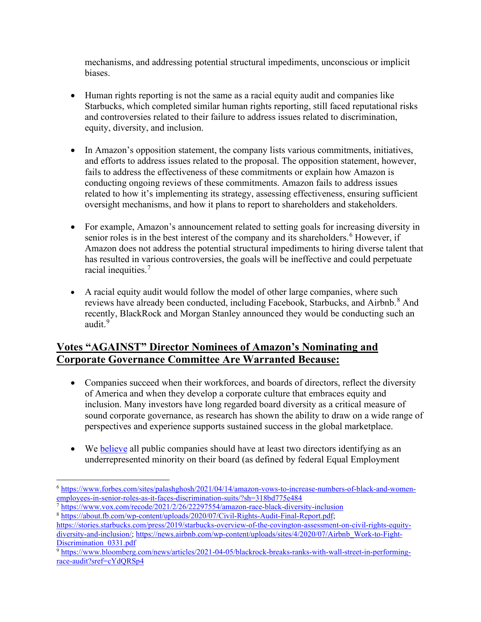mechanisms, and addressing potential structural impediments, unconscious or implicit biases.

- Human rights reporting is not the same as a racial equity audit and companies like Starbucks, which completed similar human rights reporting, still faced reputational risks and controversies related to their failure to address issues related to discrimination, equity, diversity, and inclusion.
- In Amazon's opposition statement, the company lists various commitments, initiatives, and efforts to address issues related to the proposal. The opposition statement, however, fails to address the effectiveness of these commitments or explain how Amazon is conducting ongoing reviews of these commitments. Amazon fails to address issues related to how it's implementing its strategy, assessing effectiveness, ensuring sufficient oversight mechanisms, and how it plans to report to shareholders and stakeholders.
- For example, Amazon's announcement related to setting goals for increasing diversity in senior roles is in the best interest of the company and its shareholders.<sup>[6](#page-2-0)</sup> However, if Amazon does not address the potential structural impediments to hiring diverse talent that has resulted in various controversies, the goals will be ineffective and could perpetuate racial inequities.[7](#page-2-1)
- A racial equity audit would follow the model of other large companies, where such reviews have already been conducted, including Facebook, Starbucks, and Airbnb.<sup>[8](#page-2-2)</sup> And recently, BlackRock and Morgan Stanley announced they would be conducting such an audit.<sup>[9](#page-2-3)</sup>

# **Votes "AGAINST" Director Nominees of Amazon's Nominating and Corporate Governance Committee Are Warranted Because:**

- Companies succeed when their workforces, and boards of directors, reflect the diversity of America and when they develop a corporate culture that embraces equity and inclusion. Many investors have long regarded board diversity as a critical measure of sound corporate governance, as research has shown the ability to draw on a wide range of perspectives and experience supports sustained success in the global marketplace.
- We **believe** all public companies should have at least two directors identifying as an underrepresented minority on their board (as defined by federal Equal Employment

<span id="page-2-0"></span><sup>6</sup> [https://www.forbes.com/sites/palashghosh/2021/04/14/amazon-vows-to-increase-numbers-of-black-and-women](https://www.forbes.com/sites/palashghosh/2021/04/14/amazon-vows-to-increase-numbers-of-black-and-women-employees-in-senior-roles-as-it-faces-discrimination-suits/?sh=318bd775e484)[employees-in-senior-roles-as-it-faces-discrimination-suits/?sh=318bd775e484](https://www.forbes.com/sites/palashghosh/2021/04/14/amazon-vows-to-increase-numbers-of-black-and-women-employees-in-senior-roles-as-it-faces-discrimination-suits/?sh=318bd775e484)

<span id="page-2-1"></span><sup>7</sup> <https://www.vox.com/recode/2021/2/26/22297554/amazon-race-black-diversity-inclusion> <sup>8</sup> [https://about.fb.com/wp-content/uploads/2020/07/Civil-Rights-Audit-Final-Report.pdf;](https://about.fb.com/wp-content/uploads/2020/07/Civil-Rights-Audit-Final-Report.pdf)

<span id="page-2-2"></span>[https://stories.starbucks.com/press/2019/starbucks-overview-of-the-covington-assessment-on-civil-rights-equity](https://stories.starbucks.com/press/2019/starbucks-overview-of-the-covington-assessment-on-civil-rights-equity-diversity-and-inclusion/)[diversity-and-inclusion/;](https://stories.starbucks.com/press/2019/starbucks-overview-of-the-covington-assessment-on-civil-rights-equity-diversity-and-inclusion/) [https://news.airbnb.com/wp-content/uploads/sites/4/2020/07/Airbnb\\_Work-to-Fight-](https://news.airbnb.com/wp-content/uploads/sites/4/2020/07/Airbnb_Work-to-Fight-Discrimination_0331.pdf)Discrimination 0331.pdf

<span id="page-2-3"></span><sup>9</sup> [https://www.bloomberg.com/news/articles/2021-04-05/blackrock-breaks-ranks-with-wall-street-in-performing](https://www.bloomberg.com/news/articles/2021-04-05/blackrock-breaks-ranks-with-wall-street-in-performing-race-audit?sref=cYdQRSp4)[race-audit?sref=cYdQRSp4](https://www.bloomberg.com/news/articles/2021-04-05/blackrock-breaks-ranks-with-wall-street-in-performing-race-audit?sref=cYdQRSp4)